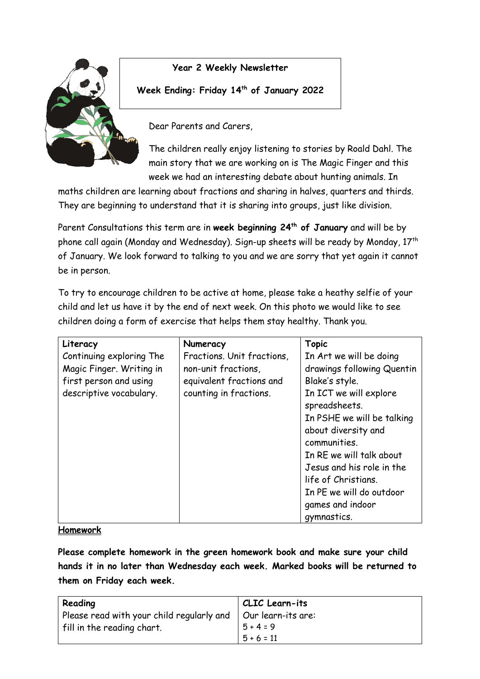

## **Year 2 Weekly Newsletter**

## **Week Ending: Friday 14th of January 2022**

Dear Parents and Carers,

The children really enjoy listening to stories by Roald Dahl. The main story that we are working on is The Magic Finger and this week we had an interesting debate about hunting animals. In

maths children are learning about fractions and sharing in halves, quarters and thirds. They are beginning to understand that it is sharing into groups, just like division.

Parent Consultations this term are in **week beginning 24th of January** and will be by phone call again (Monday and Wednesday). Sign-up sheets will be ready by Monday, 17th of January. We look forward to talking to you and we are sorry that yet again it cannot be in person.

To try to encourage children to be active at home, please take a heathy selfie of your child and let us have it by the end of next week. On this photo we would like to see children doing a form of exercise that helps them stay healthy. Thank you.

| Literacy                 | Numeracy                   | <b>Topic</b>               |
|--------------------------|----------------------------|----------------------------|
| Continuing exploring The | Fractions. Unit fractions, | In Art we will be doing    |
| Magic Finger. Writing in | non-unit fractions,        | drawings following Quentin |
| first person and using   | equivalent fractions and   | Blake's style.             |
| descriptive vocabulary.  | counting in fractions.     | In ICT we will explore     |
|                          |                            | spreadsheets.              |
|                          |                            | In PSHE we will be talking |
|                          |                            | about diversity and        |
|                          |                            | communities.               |
|                          |                            | In RE we will talk about   |
|                          |                            | Jesus and his role in the  |
|                          |                            | life of Christians.        |
|                          |                            | In PE we will do outdoor   |
|                          |                            | games and indoor           |
|                          |                            | gymnastics.                |

## **Homework**

**Please complete homework in the green homework book and make sure your child hands it in no later than Wednesday each week. Marked books will be returned to them on Friday each week.** 

| Reading                                                           | <b>CLIC Learn-its</b> |
|-------------------------------------------------------------------|-----------------------|
| Please read with your child regularly and $\,$ 0ur learn-its are: |                       |
| $\mid$ fill in the reading chart.                                 | $5 + 4 = 9$           |
|                                                                   | $5 + 6 = 11$          |